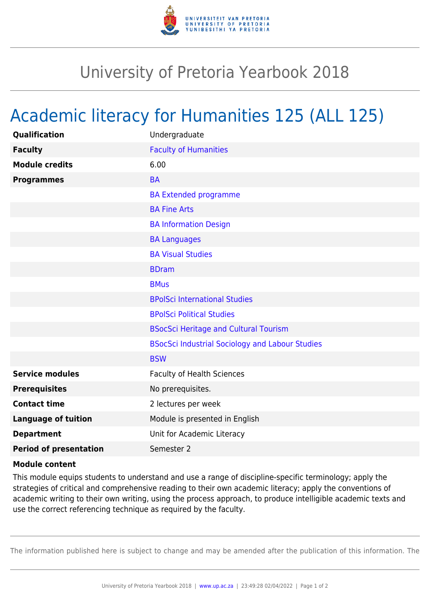

## University of Pretoria Yearbook 2018

## Academic literacy for Humanities 125 (ALL 125)

| <b>Qualification</b>          | Undergraduate                                          |
|-------------------------------|--------------------------------------------------------|
| <b>Faculty</b>                | <b>Faculty of Humanities</b>                           |
| <b>Module credits</b>         | 6.00                                                   |
| <b>Programmes</b>             | <b>BA</b>                                              |
|                               | <b>BA Extended programme</b>                           |
|                               | <b>BA Fine Arts</b>                                    |
|                               | <b>BA Information Design</b>                           |
|                               | <b>BA Languages</b>                                    |
|                               | <b>BA Visual Studies</b>                               |
|                               | <b>BDram</b>                                           |
|                               | <b>BMus</b>                                            |
|                               | <b>BPolSci International Studies</b>                   |
|                               | <b>BPolSci Political Studies</b>                       |
|                               | <b>BSocSci Heritage and Cultural Tourism</b>           |
|                               | <b>BSocSci Industrial Sociology and Labour Studies</b> |
|                               | <b>BSW</b>                                             |
| <b>Service modules</b>        | <b>Faculty of Health Sciences</b>                      |
| <b>Prerequisites</b>          | No prerequisites.                                      |
| <b>Contact time</b>           | 2 lectures per week                                    |
| <b>Language of tuition</b>    | Module is presented in English                         |
| <b>Department</b>             | Unit for Academic Literacy                             |
| <b>Period of presentation</b> | Semester 2                                             |
|                               |                                                        |

## **Module content**

This module equips students to understand and use a range of discipline-specific terminology; apply the strategies of critical and comprehensive reading to their own academic literacy; apply the conventions of academic writing to their own writing, using the process approach, to produce intelligible academic texts and use the correct referencing technique as required by the faculty.

The information published here is subject to change and may be amended after the publication of this information. The